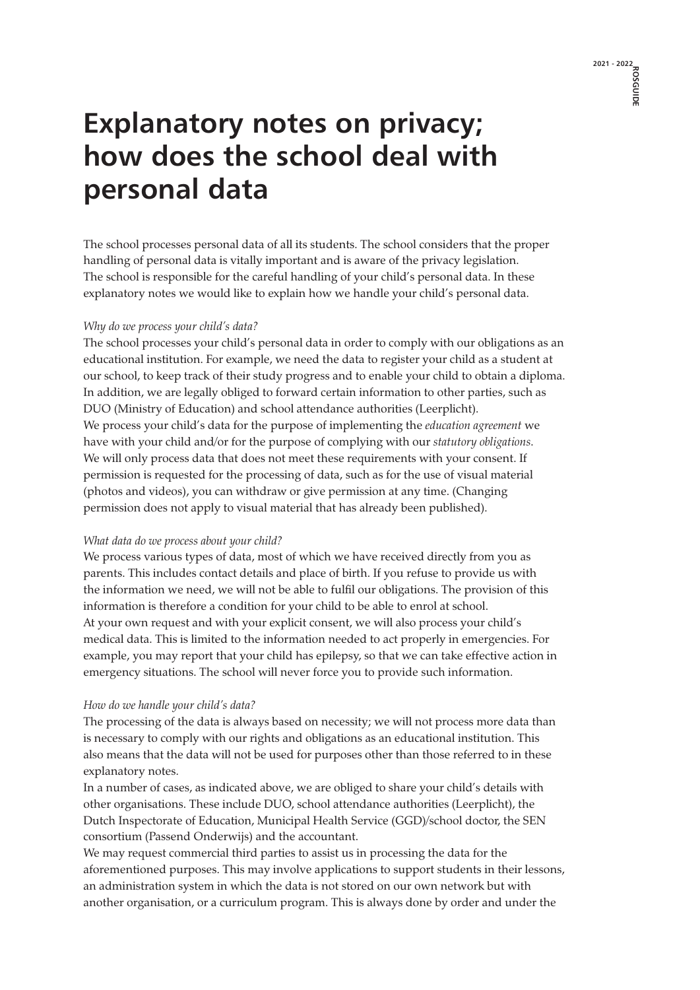# **Explanatory notes on privacy; how does the school deal with personal data**

The school processes personal data of all its students. The school considers that the proper handling of personal data is vitally important and is aware of the privacy legislation. The school is responsible for the careful handling of your child's personal data. In these explanatory notes we would like to explain how we handle your child's personal data.

# *Why do we process your child's data?*

The school processes your child's personal data in order to comply with our obligations as an educational institution. For example, we need the data to register your child as a student at our school, to keep track of their study progress and to enable your child to obtain a diploma. In addition, we are legally obliged to forward certain information to other parties, such as DUO (Ministry of Education) and school attendance authorities (Leerplicht). We process your child's data for the purpose of implementing the *education agreement* we have with your child and/or for the purpose of complying with our *statutory obligations*. We will only process data that does not meet these requirements with your consent. If permission is requested for the processing of data, such as for the use of visual material (photos and videos), you can withdraw or give permission at any time. (Changing permission does not apply to visual material that has already been published).

### *What data do we process about your child?*

We process various types of data, most of which we have received directly from you as parents. This includes contact details and place of birth. If you refuse to provide us with the information we need, we will not be able to fulfil our obligations. The provision of this information is therefore a condition for your child to be able to enrol at school. At your own request and with your explicit consent, we will also process your child's medical data. This is limited to the information needed to act properly in emergencies. For example, you may report that your child has epilepsy, so that we can take effective action in emergency situations. The school will never force you to provide such information.

### *How do we handle your child's data?*

The processing of the data is always based on necessity; we will not process more data than is necessary to comply with our rights and obligations as an educational institution. This also means that the data will not be used for purposes other than those referred to in these explanatory notes.

In a number of cases, as indicated above, we are obliged to share your child's details with other organisations. These include DUO, school attendance authorities (Leerplicht), the Dutch Inspectorate of Education, Municipal Health Service (GGD)/school doctor, the SEN consortium (Passend Onderwijs) and the accountant.

We may request commercial third parties to assist us in processing the data for the aforementioned purposes. This may involve applications to support students in their lessons, an administration system in which the data is not stored on our own network but with another organisation, or a curriculum program. This is always done by order and under the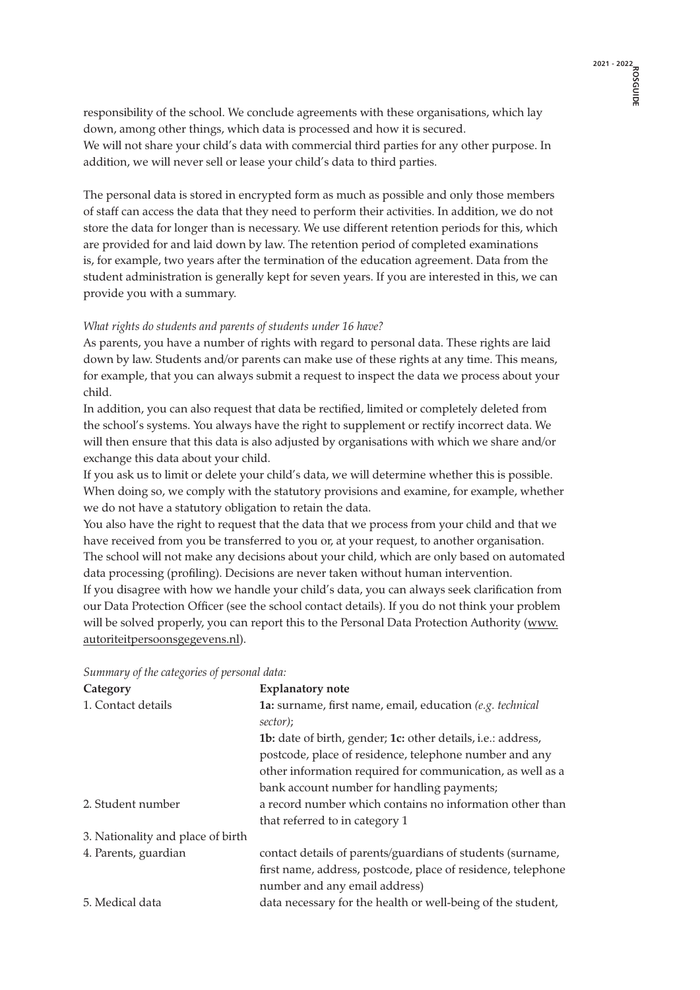responsibility of the school. We conclude agreements with these organisations, which lay down, among other things, which data is processed and how it is secured. We will not share your child's data with commercial third parties for any other purpose. In addition, we will never sell or lease your child's data to third parties.

The personal data is stored in encrypted form as much as possible and only those members of staff can access the data that they need to perform their activities. In addition, we do not store the data for longer than is necessary. We use different retention periods for this, which are provided for and laid down by law. The retention period of completed examinations is, for example, two years after the termination of the education agreement. Data from the student administration is generally kept for seven years. If you are interested in this, we can provide you with a summary.

# *What rights do students and parents of students under 16 have?*

As parents, you have a number of rights with regard to personal data. These rights are laid down by law. Students and/or parents can make use of these rights at any time. This means, for example, that you can always submit a request to inspect the data we process about your child.

In addition, you can also request that data be rectified, limited or completely deleted from the school's systems. You always have the right to supplement or rectify incorrect data. We will then ensure that this data is also adjusted by organisations with which we share and/or exchange this data about your child.

If you ask us to limit or delete your child's data, we will determine whether this is possible. When doing so, we comply with the statutory provisions and examine, for example, whether we do not have a statutory obligation to retain the data.

You also have the right to request that the data that we process from your child and that we have received from you be transferred to you or, at your request, to another organisation. The school will not make any decisions about your child, which are only based on automated data processing (profiling). Decisions are never taken without human intervention.

If you disagree with how we handle your child's data, you can always seek clarification from our Data Protection Officer (see the school contact details). If you do not think your problem will be solved properly, you can report this to the Personal Data Protection Authority (www. autoriteitpersoonsgegevens.nl).

| Category                          | <b>Explanatory note</b>                                      |
|-----------------------------------|--------------------------------------------------------------|
| 1. Contact details                | 1a: surname, first name, email, education (e.g. technical    |
|                                   | sector);                                                     |
|                                   | 1b: date of birth, gender; 1c: other details, i.e.: address, |
|                                   | postcode, place of residence, telephone number and any       |
|                                   | other information required for communication, as well as a   |
|                                   | bank account number for handling payments;                   |
| 2. Student number                 | a record number which contains no information other than     |
|                                   | that referred to in category 1                               |
| 3. Nationality and place of birth |                                                              |
| 4. Parents, guardian              | contact details of parents/guardians of students (surname,   |
|                                   | first name, address, postcode, place of residence, telephone |
|                                   | number and any email address)                                |
| 5. Medical data                   | data necessary for the health or well-being of the student,  |

*Summary of the categories of personal data:*